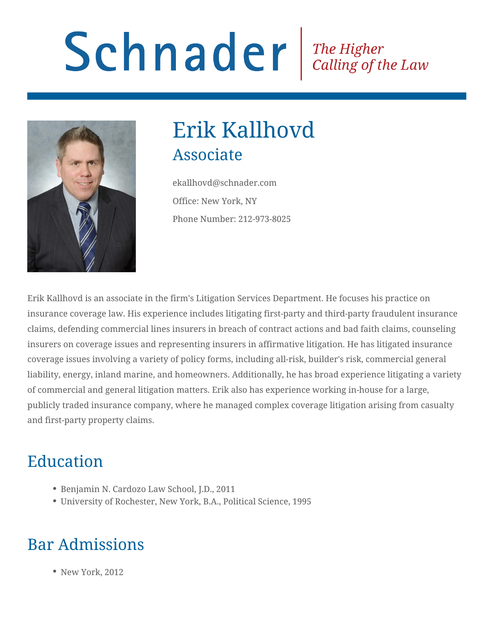# Schnader Fine Higher Calling of the Law



## Erik Kallhovd Associate

ekallhovd@schnader.com Office: New York, NY Phone Number: 212-973-8025

Erik Kallhovd is an associate in the firm's Litigation Services Department. He focuses his practice on insurance coverage law. His experience includes litigating first-party and third-party fraudulent insurance claims, defending commercial lines insurers in breach of contract actions and bad faith claims, counseling insurers on coverage issues and representing insurers in affirmative litigation. He has litigated insurance coverage issues involving a variety of policy forms, including all-risk, builder's risk, commercial general liability, energy, inland marine, and homeowners. Additionally, he has broad experience litigating a variety of commercial and general litigation matters. Erik also has experience working in-house for a large, publicly traded insurance company, where he managed complex coverage litigation arising from casualty and first-party property claims.

## Education

- Benjamin N. Cardozo Law School, J.D., 2011
- University of Rochester, New York, B.A., Political Science, 1995

## Bar Admissions

• New York, 2012